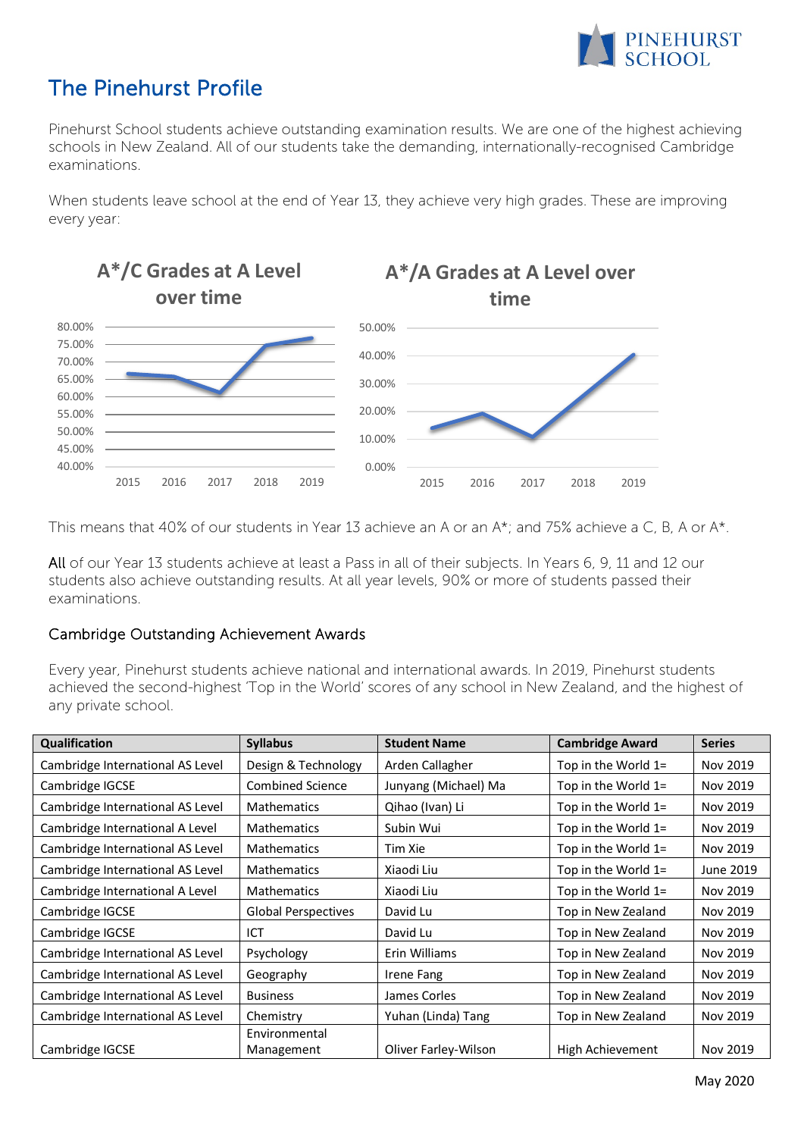

## The Pinehurst Profile

Pinehurst School students achieve outstanding examination results. We are one of the highest achieving schools in New Zealand. All of our students take the demanding, internationally-recognised Cambridge examinations.

When students leave school at the end of Year 13, they achieve very high grades. These are improving every year:



This means that 40% of our students in Year 13 achieve an A or an A\*; and 75% achieve a C, B, A or A\*.

All of our Year 13 students achieve at least a Pass in all of their subjects. In Years 6, 9, 11 and 12 our students also achieve outstanding results. At all year levels, 90% or more of students passed their examinations.

## Cambridge Outstanding Achievement Awards

Every year, Pinehurst students achieve national and international awards. In 2019, Pinehurst students achieved the second-highest 'Top in the World' scores of any school in New Zealand, and the highest of any private school.

| Qualification                    | <b>Syllabus</b>            | <b>Student Name</b>  | <b>Cambridge Award</b> | <b>Series</b> |
|----------------------------------|----------------------------|----------------------|------------------------|---------------|
| Cambridge International AS Level | Design & Technology        | Arden Callagher      | Top in the World 1=    | Nov 2019      |
| Cambridge IGCSE                  | <b>Combined Science</b>    | Junyang (Michael) Ma | Top in the World $1=$  | Nov 2019      |
| Cambridge International AS Level | <b>Mathematics</b>         | Qihao (Ivan) Li      | Top in the World $1=$  | Nov 2019      |
| Cambridge International A Level  | <b>Mathematics</b>         | Subin Wui            | Top in the World $1=$  | Nov 2019      |
| Cambridge International AS Level | <b>Mathematics</b>         | Tim Xie              | Top in the World $1=$  | Nov 2019      |
| Cambridge International AS Level | <b>Mathematics</b>         | Xiaodi Liu           | Top in the World $1=$  | June 2019     |
| Cambridge International A Level  | <b>Mathematics</b>         | Xiaodi Liu           | Top in the World $1=$  | Nov 2019      |
| Cambridge IGCSE                  | <b>Global Perspectives</b> | David Lu             | Top in New Zealand     | Nov 2019      |
| Cambridge IGCSE                  | ICT                        | David Lu             | Top in New Zealand     | Nov 2019      |
| Cambridge International AS Level | Psychology                 | Erin Williams        | Top in New Zealand     | Nov 2019      |
| Cambridge International AS Level | Geography                  | Irene Fang           | Top in New Zealand     | Nov 2019      |
| Cambridge International AS Level | <b>Business</b>            | James Corles         | Top in New Zealand     | Nov 2019      |
| Cambridge International AS Level | Chemistry                  | Yuhan (Linda) Tang   | Top in New Zealand     | Nov 2019      |
|                                  | Environmental              |                      |                        |               |
| Cambridge IGCSE                  | Management                 | Oliver Farley-Wilson | High Achievement       | Nov 2019      |